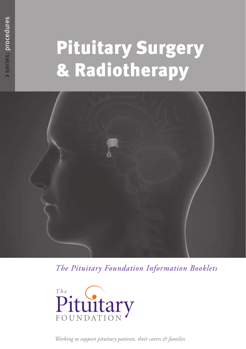# Pituitary Surgery & Radiotherapy



*The Pituitary Foundation Information Booklets*



*Working to support pituitary patients, their carers & families*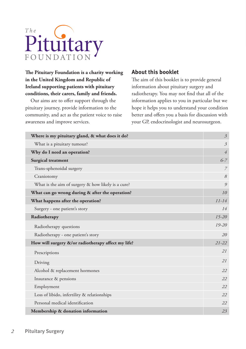

**The Pituitary Foundation is a charity working in the United Kingdom and Republic of Ireland supporting patients with pituitary conditions, their carers, family and friends.**

Our aims are to offer support through the pituitary journey, provide information to the community, and act as the patient voice to raise awareness and improve services.

#### **About this booklet**

The aim of this booklet is to provide general information about pituitary surgery and radiotherapy. You may not find that all of the information applies to you in particular but we hope it helps you to understand your condition better and offers you a basis for discussion with your GP, endocrinologist and neurosurgeon.

| Where is my pituitary gland, & what does it do?    | $\overline{\mathcal{Z}}$ |
|----------------------------------------------------|--------------------------|
| What is a pituitary tumour?                        | $\mathcal{Z}$            |
| Why do I need an operation?                        | $\overline{4}$           |
| <b>Surgical treatment</b>                          | $6 - 7$                  |
| Trans-sphenoidal surgery                           | $\overline{7}$           |
| Craniotomy                                         | 8                        |
| What is the aim of surgery & how likely is a cure? | 9                        |
| What can go wrong during & after the operation?    | 10                       |
| What happens after the operation?                  | $11 - 14$                |
| Surgery - one patient's story                      | 14                       |
| Radiotherapy                                       | $15 - 20$                |
| Radiotherapy questions                             | $19 - 20$                |
| Radiotherapy - one patient's story                 | 20                       |
| How will surgery &/or radiotherapy affect my life? | $21 - 22$                |
| Prescriptions                                      | 21                       |
| Driving                                            | 21                       |
| Alcohol & replacement hormones                     | 22                       |
| Insurance & pensions                               | 22                       |
| Employment                                         | 22                       |
| Loss of libido, infertility & relationships        | 22                       |
| Personal medical identification                    | 22                       |
| Membership & donation information                  | 23                       |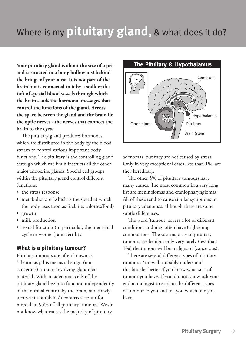### Where is my **pituitary gland,** & what does it do?

**Your pituitary gland is about the size of a pea and is situated in a bony hollow just behind the bridge of your nose. It is not part of the brain but is connected to it by a stalk with a tuft of special blood vessels through which the brain sends the hormonal messages that control the functions of the gland. Across the space between the gland and the brain lie the optic nerves - the nerves that connect the brain to the eyes.**

The pituitary gland produces hormones, which are distributed in the body by the blood stream to control various important body functions. The pituitary is the controlling gland through which the brain instructs all the other major endocrine glands. Special cell groups within the pituitary gland control different functions:

- the stress response
- metabolic rate (which is the speed at which the body uses food as fuel, i.e. calories/food)
- growth
- milk production
- sexual function (in particular, the menstrual cycle in women) and fertility.

#### **What is a pituitary tumour?**

Pituitary tumours are often known as 'adenomas'; this means a benign (noncancerous) tumour involving glandular material. With an adenoma, cells of the pituitary gland begin to function independently of the normal control by the brain, and slowly increase in number. Adenomas account for more than 95% of all pituitary tumours. We do not know what causes the majority of pituitary



adenomas, but they are not caused by stress. Only in very exceptional cases, less than 1%, are they hereditary.

The other 5% of pituitary tumours have many causes. The most common in a very long list are meningiomas and craniopharyngiomas. All of these tend to cause similar symptoms to pituitary adenomas, although there are some subtle differences.

The word 'tumour' covers a lot of different conditions and may often have frightening connotations. The vast majority of pituitary tumours are benign: only very rarely (less than 1%) the tumour will be malignant (cancerous).

There are several different types of pituitary tumours. You will probably understand this booklet better if you know what sort of tumour you have. If you do not know, ask your endocrinologist to explain the different types of tumour to you and tell you which one you have.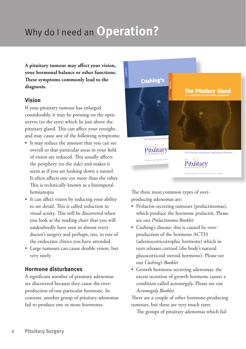## Why do I need an **Operation?**

**A pituitary tumour may affect your vision, your hormonal balance or other functions. These symptoms commonly lead to the diagnosis.**

#### **Vision**

If your pituitary tumour has enlarged considerably, it may be pressing on the optic nerves (to the eyes) which lie just above the pituitary gland. This can affect your eyesight, and may cause any of the following symptoms:

- It may reduce the amount that you can see overall so that particular areas in your field of vision are reduced. This usually affects the periphery (to the side) and makes it seem as if you are looking down a tunnel. It often affects one eye more than the other. This is technically known as a bitemporal hemianopia
- It can affect vision by reducing your ability to see detail. This is called reduction in visual acuity. This will be discovered when you look at the reading chart that you will undoubtedly have seen in almost every doctor's surgery and perhaps, too, in one of the endocrine clinics you have attended
- Large tumours can cause double vision, but very rarely

#### **Hormone disturbances**

A significant number of pituitary adenomas are discovered because they cause the overproduction of one particular hormone. In contrast, another group of pituitary adenomas fail to produce one or more hormones.



The three most common types of overproducing adenomas are:

- Prolactin-secreting tumours (prolactinomas), which produce the hormone prolactin. Please see our *Prolactinoma Booklet*
- Cushing's disease: this is caused by overproduction of the hormone ACTH (adrenocorticotrophic hormone) which in turn releases cortisol (the body's natural glucocorticoid steroid hormone). Please see our *Cushing's Booklet*
- Growth hormone-secreting adenomas: the excess secretion of growth hormone causes a condition called acromegaly. Please see our *Acromegaly Booklet*

There are a couple of other hormone-producing tumours, but these are very much rarer.

The groups of pituitary adenomas which fail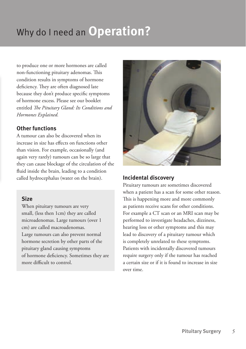## Why do I need an **Operation?**

to produce one or more hormones are called non-functioning pituitary adenomas. This condition results in symptoms of hormone deficiency. They are often diagnosed late because they don't produce specific symptoms of hormone excess. Please see our booklet entitled *The Pituitary Gland: Its Conditions and Hormones Explained.*

#### **Other functions**

A tumour can also be discovered when its increase in size has effects on functions other than vision. For example, occasionally (and again very rarely) tumours can be so large that they can cause blockage of the circulation of the fluid inside the brain, leading to a condition called hydrocephalus (water on the brain).

#### **Size**

When pituitary tumours are very small, (less then 1cm) they are called microadenomas. Large tumours (over 1 cm) are called macroadenomas. Large tumours can also prevent normal hormone secretion by other parts of the pituitary gland causing symptoms of hormone deficiency. Sometimes they are more difficult to control.



#### **Incidental discovery**

Pituitary tumours are sometimes discovered when a patient has a scan for some other reason. This is happening more and more commonly as patients receive scans for other conditions. For example a CT scan or an MRI scan may be performed to investigate headaches, dizziness, hearing loss or other symptoms and this may lead to discovery of a pituitary tumour which is completely unrelated to these symptoms. Patients with incidentally discovered tumours require surgery only if the tumour has reached a certain size or if it is found to increase in size over time.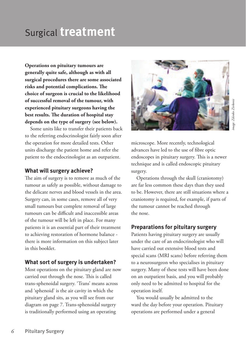#### *6* **Pituitary Surgery**

**Operations on pituitary tumours are generally quite safe, although as with all surgical procedures there are some associated risks and potential complications. The choice of surgeon is crucial to the likelihood of successful removal of the tumour, with experienced pituitary surgeons having the best results. The duration of hospital stay depends on the type of surgery (see below).**

Surgical **treatment**

Some units like to transfer their patients back to the referring endocrinologist fairly soon after the operation for more detailed tests. Other units discharge the patient home and refer the patient to the endocrinologist as an outpatient.

#### **What will surgery achieve?**

The aim of surgery is to remove as much of the tumour as safely as possible, without damage to the delicate nerves and blood vessels in the area. Surgery can, in some cases, remove all of very small tumours but complete removal of large tumours can be difficult and inaccessible areas of the tumour will be left in place. For many patients it is an essential part of their treatment to achieving restoration of hormone balance there is more information on this subject later in this booklet.

#### **What sort of surgery is undertaken?**

Most operations on the pituitary gland are now carried out through the nose. This is called trans-sphenoidal surgery. 'Trans' means across and 'sphenoid' is the air cavity in which the pituitary gland sits, as you will see from our diagram on page 7. Trans-sphenoidal surgery is traditionally performed using an operating

microscope. More recently, technological advances have led to the use of fibre optic endoscopes in pituitary surgery. This is a newer technique and is called endoscopic pituitary surgery.

Operations through the skull (craniotomy) are far less common these days than they used to be. However, there are still situations where a craniotomy is required, for example, if parts of the tumour cannot be reached through the nose.

#### **Preparations for pituitary surgery**

Patients having pituitary surgery are usually under the care of an endocrinologist who will have carried out extensive blood tests and special scans (MRI scans) before referring them to a neurosurgeon who specialises in pituitary surgery. Many of these tests will have been done on an outpatient basis, and you will probably only need to be admitted to hospital for the operation itself.

You would usually be admitted to the ward the day before your operation. Pituitary operations are performed under a general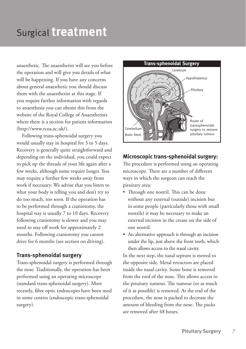### Surgical **treatment**

anaesthetic. The anaesthetist will see you before the operation and will give you details of what will be happening. If you have any concerns about general anaesthetic you should discuss them with the anaesthetist at this stage. If you require further information with regards to anaesthesia you can obtain this from the website of the Royal College of Anaesthetists where there is a section for patient information (http://www.rcoa.ac.uk/).

Following trans-sphenoidal surgery you would usually stay in hospital for 3 to 5 days. Recovery is generally quite straightforward and depending on the individual, you could expect to pick up the threads of your life again after a few weeks, although some require longer. You may require a further few weeks away from work if necessary. We advise that you listen to what your body is telling you and don't try to do too much, too soon. If the operation has to be performed through a craniotomy, the hospital stay is usually 7 to 10 days. Recovery following craniotomy is slower and you may need to stay off work for approximately 2 months. Following craniotomy you cannot drive for 6 months (see section on driving).

#### **Trans-sphenoidal surgery**

Trans-sphenoidal surgery is performed through the nose. Traditionally, the operation has been performed using an operating microscope (standard trans-sphenoidal surgery). More recently, fibre optic endoscopes have been used in some centres (endoscopic trans-sphenoidal surgery).



#### **Microscopic trans-sphenoidal surgery:**

The procedure is performed using an operating microscope. There are a number of different ways in which the surgeon can reach the pituitary area:

- Through one nostril. This can be done without any external (outside) incision but in some people (particularly those with small nostrils) it may be necessary to make an external incision in the crease on the side of one nostril.
- An alternative approach is through an incision under the lip, just above the front teeth, which then allows access to the nasal cavity.

In the next step, the nasal septum is moved to the opposite side. Metal retractors are placed inside the nasal cavity. Some bone is removed from the roof of the nose. This allows access to the pituitary tumour. The tumour (or as much of it as possible) is removed. At the end of the procedure, the nose is packed to decrease the amount of bleeding from the nose. The packs are removed after 48 hours.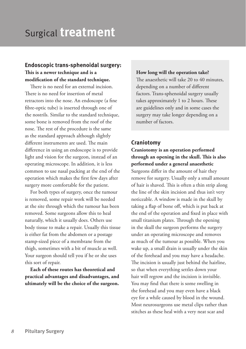### Surgical **treatment**

#### **Endoscopic trans-sphenoidal surgery: This is a newer technique and is a modification of the standard technique.**

There is no need for an external incision. There is no need for insertion of metal retractors into the nose. An endoscope (a fine fibre-optic tube) is inserted through one of the nostrils. Similar to the standard technique, some bone is removed from the roof of the nose. The rest of the procedure is the same as the standard approach although slightly different instruments are used. The main difference in using an endoscope is to provide light and vision for the surgeon, instead of an operating microscope. In addition, it is less common to use nasal packing at the end of the operation which makes the first few days after surgery more comfortable for the patient.

For both types of surgery, once the tumour is removed, some repair work will be needed at the site through which the tumour has been removed. Some surgeons allow this to heal naturally, which it usually does. Others use body tissue to make a repair. Usually this tissue is either fat from the abdomen or a postage stamp-sized piece of a membrane from the thigh, sometimes with a bit of muscle as well. Your surgeon should tell you if he or she uses this sort of repair.

**Each of these routes has theoretical and practical advantages and disadvantages, and ultimately will be the choice of the surgeon.** **How long will the operation take?** The anaesthetic will take 20 to 40 minutes, depending on a number of different factors. Trans-sphenoidal surgery usually takes approximately 1 to 2 hours. These are guidelines only and in some cases the surgery may take longer depending on a number of factors.

#### **Craniotomy**

#### **Craniotomy is an operation performed through an opening in the skull. This is also performed under a general anaesthetic**

Surgeons differ in the amount of hair they remove for surgery. Usually only a small amount of hair is shaved. This is often a thin strip along the line of the skin incision and thus isn't very noticeable. A window is made in the skull by taking a flap of bone off, which is put back at the end of the operation and fixed in place with small titanium plates. Through the opening in the skull the surgeon performs the surgery under an operating microscope and removes as much of the tumour as possible. When you wake up, a small drain is usually under the skin of the forehead and you may have a headache. The incision is usually just behind the hairline, so that when everything settles down your hair will regrow and the incision is invisible. You may find that there is some swelling in the forehead and you may even have a black eye for a while caused by blood in the wound. Most neurosurgeons use metal clips rather than stitches as these heal with a very neat scar and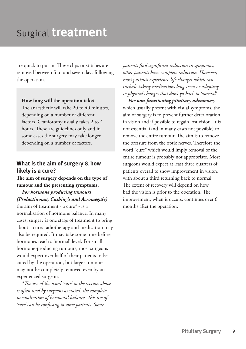### Surgical **treatment**

are quick to put in. These clips or stitches are removed between four and seven days following the operation.

#### **How long will the operation take?**

The anaesthetic will take 20 to 40 minutes, depending on a number of different factors. Craniotomy usually takes 2 to 4 hours. These are guidelines only and in some cases the surgery may take longer depending on a number of factors.

#### **What is the aim of surgery & how likely is a cure?**

**The aim of surgery depends on the type of tumour and the presenting symptoms.**

*For hormone producing tumours (Prolactinoma, Cushing's and Acromegaly)* the aim of treatment - a cure\* - is a normalisation of hormone balance. In many cases, surgery is one stage of treatment to bring about a cure; radiotherapy and medication may also be required. It may take some time before hormones reach a 'normal' level. For small hormone-producing tumours, most surgeons would expect over half of their patients to be cured by the operation, but larger tumours may not be completely removed even by an experienced surgeon.

*\*The use of the word 'cure' in the section above is often used by surgeons as stated: the complete normalisation of hormonal balance. This use of 'cure' can be confusing to some patients. Some* 

*patients find significant reduction in symptoms, other patients have complete reduction. However, most patients experience life changes which can include taking medications long-term or adapting to physical changes that don't go back to 'normal'.*

*For non-functioning pituitary adenomas,* which usually present with visual symptoms, the aim of surgery is to prevent further deterioration in vision and if possible to regain lost vision. It is not essential (and in many cases not possible) to remove the entire tumour. The aim is to remove the pressure from the optic nerves. Therefore the word "cure" which would imply removal of the entire tumour is probably not appropriate. Most surgeons would expect at least three quarters of patients overall to show improvement in vision, with about a third returning back to normal. The extent of recovery will depend on how bad the vision is prior to the operation. The improvement, when it occurs, continues over 6 months after the operation.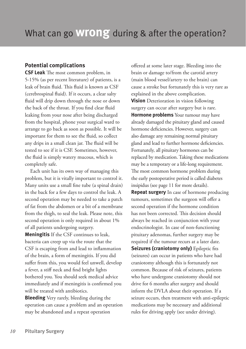#### **Potential complications**

**CSF Leak** The most common problem, in 5-15% (as per recent literature) of patients, is a leak of brain fluid. This fluid is known as CSF (cerebrospinal fluid). If it occurs, a clear salty fluid will drip down through the nose or down the back of the throat. If you find clear fluid leaking from your nose after being discharged from the hospital, phone your surgical ward to arrange to go back as soon as possible. It will be important for them to see the fluid, so collect any drips in a small clean jar. The fluid will be tested to see if it is CSF. Sometimes, however, the fluid is simply watery mucous, which is completely safe.

Each unit has its own way of managing this problem, but it is vitally important to control it. Many units use a small fine tube (a spinal drain) in the back for a few days to control the leak. A second operation may be needed to take a patch of fat from the abdomen or a bit of a membrane from the thigh, to seal the leak. Please note, this second operation is only required in about 1% of all patients undergoing surgery.

**Meningitis** If the CSF continues to leak, bacteria can creep up via the route that the CSF is escaping from and lead to inflammation of the brain, a form of meningitis. If you did suffer from this, you would feel unwell, develop a fever, a stiff neck and find bright lights bothered you. You should seek medical advice immediately and if meningitis is confirmed you will be treated with antibiotics.

**Bleeding** Very rarely, bleeding during the operation can cause a problem and an operation may be abandoned and a repeat operation

offered at some later stage. Bleeding into the brain or damage to/from the carotid artery (main blood vessel/artery to the brain) can cause a stroke but fortunately this is very rare as explained in the above complication. **Vision** Deterioration in vision following surgery can occur after surgery but is rare. **Hormone problems** Your tumour may have already damaged the pituitary gland and caused hormone deficiencies. However, surgery can also damage any remaining normal pituitary gland and lead to further hormone deficiencies. Fortunately, all pituitary hormones can be replaced by medication. Taking these medications may be a temporary or a life-long requirement. The most common hormone problem during the early postoperative period is called diabetes insipidus (see page 11 for more details).

**Repeat surgery** In case of hormone producing tumours, sometimes the surgeon will offer a second operation if the hormone condition has not been corrected. This decision should always be reached in conjunction with your endocrinologist. In case of non-functioning pituitary adenomas, further surgery may be required if the tumour recurs at a later date. **Seizures (craniotomy only)** Epileptic fits (seizures) can occur in patients who have had craniotomy although this is fortunately not common. Because of risk of seizures, patients who have undergone craniotomy should not drive for 6 months after surgery and should inform the DVLA about their operation. If a seizure occurs, then treatment with anti-epileptic medications may be necessary and additional rules for driving apply (see under driving).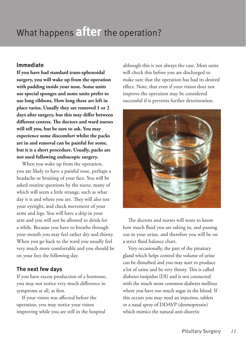### What happens **after** the operation?

#### **Immediate**

**If you have had standard trans-sphenoidal surgery, you will wake up from the operation with padding inside your nose. Some units use special sponges and some units prefer to use long ribbons. How long these are left in place varies. Usually they are removed 1 or 2 days after surgery, but this may differ between different centres. The doctors and ward nurses will tell you, but be sure to ask. You may experience some discomfort whilst the packs are in and removal can be painful for some, but it is a short procedure. Usually, packs are not used following endoscopic surgery.**

When you wake up from the operation, you are likely to have a painful nose, perhaps a headache or bruising of your face. You will be asked routine questions by the nurse, many of which will seem a little strange, such as what day it is and where you are. They will also test your eyesight, and check movement of your arms and legs. You will have a drip in your arm and you will not be allowed to drink for a while. Because you have to breathe through your mouth you may feel rather dry and thirsty. When you go back to the ward you usually feel very much more comfortable and you should be on your feet the following day.

#### **The next few days**

If you have excess production of a hormone, you may not notice very much difference in symptoms at all, at first.

If your vision was affected before the operation, you may notice your vision improving while you are still in the hospital although this is not always the case. Most units will check this before you are discharged to make sure that the operation has had its desired effect. Note, that even if your vision does not improve the operation may be considered successful if it prevents further deterioration.



The doctors and nurses will want to know how much fluid you are taking in, and passing out in your urine, and therefore you will be on a strict fluid balance chart.

Very occasionally, the part of the pituitary gland which helps control the volume of urine can be disturbed and you may start to produce a lot of urine and be very thirsty. This is called diabetes insipidus (DI) and is not connected with the much more common diabetes mellitus where you have too much sugar in the blood. If this occurs you may need an injection, tablets or a nasal spray of DDAVP (desmopressin) which mimics the natural anti-diuretic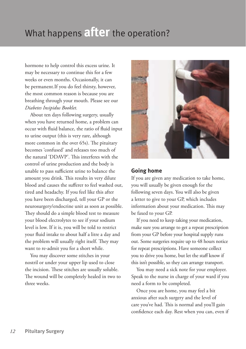### What happens **after** the operation?

hormone to help control this excess urine. It may be necessary to continue this for a few weeks or even months. Occasionally, it can be permanent.If you do feel thirsty, however, the most common reason is because you are breathing through your mouth. Please see our *Diabetes Insipidus Booklet.*

About ten days following surgery, usually when you have returned home, a problem can occur with fluid balance, the ratio of fluid input to urine output (this is very rare, although more common in the over 65s). The pituitary becomes 'confused' and releases too much of the natural 'DDAVP'. This interferes with the control of urine production and the body is unable to pass sufficient urine to balance the amount you drink. This results in very dilute blood and causes the sufferer to feel washed out, tired and headachy. If you feel like this after you have been discharged, tell your GP or the neurosurgery/endocrine unit as soon as possible. They should do a simple blood test to measure your blood electrolytes to see if your sodium level is low. If it is, you will be told to restrict your fluid intake to about half a litre a day and the problem will usually right itself. They may want to re-admit you for a short while.

You may discover some stitches in your nostril or under your upper lip used to close the incision. These stitches are usually soluble. The wound will be completely healed in two to three weeks.



#### **Going home**

If you are given any medication to take home, you will usually be given enough for the following seven days. You will also be given a letter to give to your GP, which includes information about your medication. This may be faxed to your GP.

If you need to keep taking your medication, make sure you arrange to get a repeat prescription from your GP before your hospital supply runs out. Some surgeries require up to 48 hours notice for repeat prescriptions. Have someone collect you to drive you home, but let the staff know if this isn't possible, so they can arrange transport.

You may need a sick note for your employer. Speak to the nurse in charge of your ward if you need a form to be completed.

Once you are home, you may feel a bit anxious after such surgery and the level of care you've had. This is normal and you'll gain confidence each day. Rest when you can, even if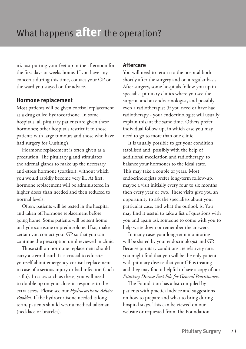### What happens **after** the operation?

it's just putting your feet up in the afternoon for the first days or weeks home. If you have any concerns during this time, contact your GP or the ward you stayed on for advice.

#### **Hormone replacement**

Most patients will be given cortisol replacement as a drug called hydrocortisone. In some hospitals, all pituitary patients are given these hormones; other hospitals restrict it to those patients with large tumours and those who have had surgery for Cushing's.

Hormone replacement is often given as a precaution. The pituitary gland stimulates the adrenal glands to make up the necessary anti-stress hormone (cortisol), without which you would rapidly become very ill. At first, hormone replacement will be administered in higher doses than needed and then reduced to normal levels.

Often, patients will be tested in the hospital and taken off hormone replacement before going home. Some patients will be sent home on hydrocortisone or prednisolone. If so, make certain you contact your GP so that you can continue the prescription until reviewed in clinic.

Those still on hormone replacement should carry a steroid card. It is crucial to educate yourself about emergency cortisol replacement in case of a serious injury or bad infection (such as flu). In cases such as these, you will need to double up on your dose in response to the extra stress. Please see our *Hydrocortisone Advice Booklet.* If the hydrocortisone needed is longterm, patients should wear a medical talisman (necklace or bracelet).

#### **Aftercare**

You will need to return to the hospital both shortly after the surgery and on a regular basis. After surgery, some hospitals follow you up in specialist pituitary clinics where you see the surgeon and an endocrinologist, and possibly even a radiotherapist (if you need or have had radiotherapy - your endocrinologist will usually explain this) at the same time. Others prefer individual follow-up, in which case you may need to go to more than one clinic.

It is usually possible to get your condition stabilised and, possibly with the help of additional medication and radiotherapy, to balance your hormones to the ideal state. This may take a couple of years. Most endocrinologists prefer long-term follow-up, maybe a visit initially every four to six months then every year or two. These visits give you an opportunity to ask the specialists about your particular case, and what the outlook is. You may find it useful to take a list of questions with you and again ask someone to come with you to help write down or remember the answers.

In many cases your long-term monitoring will be shared by your endocrinologist and GP. Because pituitary conditions are relatively rare, you might find that you will be the only patient with pituitary disease that your GP is treating and they may find it helpful to have a copy of our *Pituitary Disease Fact File for General Practitioners.*

The Foundation has a list compiled by patients with practical advice and suggestions on how to prepare and what to bring during hospital stays. This can be viewed on our website or requested from The Foundation.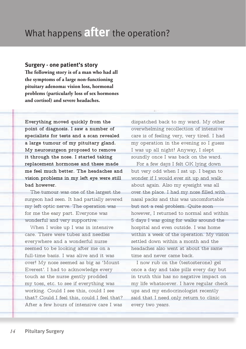#### **Surgery - one patient's story**

**The following story is of a man who had all the symptoms of a large non-functioning pituitary adenoma: vision loss, hormonal problems (particularly loss of sex hormones and cortisol) and severe headaches.**

**Everything moved quickly from the point of diagnosis. I saw a number of specialists for tests and a scan revealed a large tumour of my pituitary gland. My neurosurgeon proposed to remove it through the nose. I started taking replacement hormones and these made me feel much better. The headaches and vision problems in my left eye were still bad however.**

The tumour was one of the largest the surgeon had seen. It had partially severed my left optic nerve. The operation was for me the easy part. Everyone was wonderful and very supportive.

When I woke up I was in intensive care. There were tubes and needles everywhere and a wonderful nurse seemed to be looking after me on a full-time basis. I was alive and it was over! My nose seemed as big as 'Mount Everest'. I had to acknowledge every touch as the nurse gently prodded my toes, etc. to see if everything was working. Could I see this, could I see that? Could I feel this, could I feel that? After a few hours of intensive care I was

dispatched back to my ward. My other overwhelming recollection of intensive care is of feeling very, very tired. I had my operation in the evening so I guess I was up all night! Anyway, I slept soundly once I was back on the ward.

For a few days I felt OK lying down but very odd when I sat up. I began to wonder if I would ever sit up and walk about again. Also my eyesight was all over the place. I had my nose filled with nasal packs and this was uncomfortable but not a real problem. Quite soon however, I returned to normal and within 5 days I was going for walks around the hospital and even outside. I was home within a week of the operation. My vision settled down within a month and the headaches also went at about the same time and never came back.

I now rub on the (testosterone) gel once a day and take pills every day but in truth this has no negative impact on my life whatsoever. I have regular check ups and my endocrinologist recently said that I need only return to clinic every two years.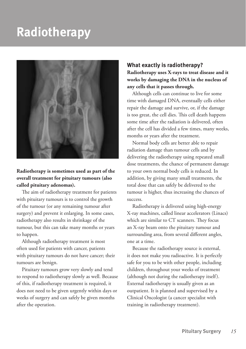

#### **Radiotherapy is sometimes used as part of the overall treatment for pituitary tumours (also called pituitary adenomas).**

The aim of radiotherapy treatment for patients with pituitary tumours is to control the growth of the tumour (or any remaining tumour after surgery) and prevent it enlarging. In some cases, radiotherapy also results in shrinkage of the tumour, but this can take many months or years to happen.

Although radiotherapy treatment is most often used for patients with cancer, patients with pituitary tumours do not have cancer; their tumours are benign.

Pituitary tumours grow very slowly and tend to respond to radiotherapy slowly as well. Because of this, if radiotherapy treatment is required, it does not need to be given urgently within days or weeks of surgery and can safely be given months after the operation.

#### **What exactly is radiotherapy? Radiotherapy uses X-rays to treat disease and it works by damaging the DNA in the nucleus of any cells that it passes through.**

Although cells can continue to live for some time with damaged DNA, eventually cells either repair the damage and survive, or, if the damage is too great, the cell dies. This cell death happens some time after the radiation is delivered, often after the cell has divided a few times, many weeks, months or years after the treatment.

Normal body cells are better able to repair radiation damage than tumour cells and by delivering the radiotherapy using repeated small dose treatments, the chance of permanent damage to your own normal body cells is reduced. In addition, by giving many small treatments, the total dose that can safely be delivered to the tumour is higher, thus increasing the chances of success.

Radiotherapy is delivered using high-energy X-ray machines, called linear accelerators (Linacs) which are similar to CT scanners. They focus an X-ray beam onto the pituitary tumour and surrounding area, from several different angles, one at a time.

Because the radiotherapy source is external, it does not make you radioactive. It is perfectly safe for you to be with other people, including children, throughout your weeks of treatment (although not during the radiotherapy itself). External radiotherapy is usually given as an outpatient. It is planned and supervised by a Clinical Oncologist (a cancer specialist with training in radiotherapy treatment).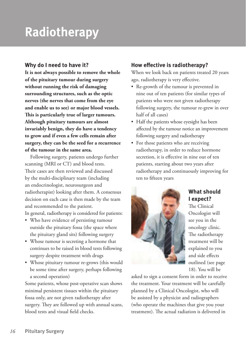#### **Why do I need to have it?**

**It is not always possible to remove the whole of the pituitary tumour during surgery without running the risk of damaging surrounding structures, such as the optic nerves (the nerves that come from the eye and enable us to see) or major blood vessels. This is particularly true of larger tumours. Although pituitary tumours are almost invariably benign, they do have a tendency to grow and if even a few cells remain after surgery, they can be the seed for a recurrence of the tumour in the same area.**

Following surgery, patients undergo further scanning (MRI or CT) and blood tests. Their cases are then reviewed and discussed by the multi-disciplinary team (including an endocrinologist, neurosurgeon and radiotherapist) looking after them. A consensus decision on each case is then made by the team and recommended to the patient. In general, radiotherapy is considered for patients:

- Who have evidence of persisting tumour outside the pituitary fossa (the space where the pituitary gland sits) following surgery
- Whose tumour is secreting a hormone that continues to be raised in blood tests following surgery despite treatment with drugs
- Whose pituitary tumour re-grows (this would be some time after surgery, perhaps following a second operation)

Some patients, whose post-operative scan shows minimal persistent tissues within the pituitary fossa only, are not given radiotherapy after surgery. They are followed up with annual scans, blood tests and visual field checks.

#### **How effective is radiotherapy?**

When we look back on patients treated 20 years ago, radiotherapy is very effective.

- Re-growth of the tumour is prevented in nine out of ten patients (for similar types of patients who were not given radiotherapy following surgery, the tumour re-grew in over half of all cases)
- Half the patients whose eyesight has been affected by the tumour notice an improvement following surgery and radiotherapy
- For those patients who are receiving radiotherapy, in order to reduce hormone secretion, it is effective in nine out of ten patients, starting about two years after radiotherapy and continuously improving for ten to fifteen years



#### **What should I expect?**

The Clinical Oncologist will see you in the oncology clinic. The radiotherapy treatment will be explained to you and side effects outlined (see page 18). You will be

asked to sign a consent form in order to receive the treatment. Your treatment will be carefully planned by a Clinical Oncologist, who will be assisted by a physicist and radiographers (who operate the machines that give you your treatment). The actual radiation is delivered in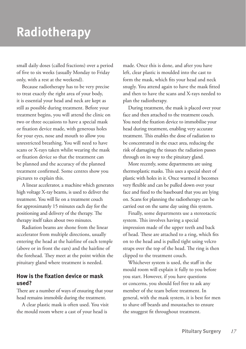small daily doses (called fractions) over a period of five to six weeks (usually Monday to Friday only, with a rest at the weekend).

Because radiotherapy has to be very precise to treat exactly the right area of your body, it is essential your head and neck are kept as still as possible during treatment. Before your treatment begins, you will attend the clinic on two or three occasions to have a special mask or fixation device made, with generous holes for your eyes, nose and mouth to allow you unrestricted breathing. You will need to have scans or X-rays taken whilst wearing the mask or fixation device so that the treatment can be planned and the accuracy of the planned treatment confirmed. Some centres show you pictures to explain this.

A linear accelerator, a machine which generates high voltage X-ray beams, is used to deliver the treatment. You will lie on a treatment couch for approximately 15 minutes each day for the positioning and delivery of the therapy. The therapy itself takes about two minutes.

Radiation beams are shone from the linear accelerator from multiple directions, usually entering the head at the hairline of each temple (above or in front the ears) and the hairline of the forehead. They meet at the point within the pituitary gland where treatment is needed.

#### **How is the fixation device or mask used?**

There are a number of ways of ensuring that your head remains immobile during the treatment.

A clear plastic mask is often used. You visit the mould room where a cast of your head is

made. Once this is done, and after you have left, clear plastic is moulded into the cast to form the mask, which fits your head and neck snugly. You attend again to have the mask fitted and then to have the scans and X-rays needed to plan the radiotherapy.

During treatment, the mask is placed over your face and then attached to the treatment couch. You need the fixation device to immobilise your head during treatment, enabling very accurate treatment. This enables the dose of radiation to be concentrated in the exact area, reducing the risk of damaging the tissues the radiation passes through on its way to the pituitary gland.

More recently, some departments are using thermoplastic masks. This uses a special sheet of plastic with holes in it. Once warmed it becomes very flexible and can be pulled down over your face and fixed to the baseboard that you are lying on. Scans for planning the radiotherapy can be carried out on the same day using this system.

Finally, some departments use a stereotactic system. This involves having a special impression made of the upper teeth and back of head. These are attached to a ring, which fits on to the head and is pulled tight using velcro straps over the top of the head. The ring is then clipped to the treatment couch.

Whichever system is used, the staff in the mould room will explain it fully to you before you start. However, if you have questions or concerns, you should feel free to ask any member of the team before treatment. In general, with the mask system, it is best for men to shave off beards and moustaches to ensure the snuggest fit throughout treatment.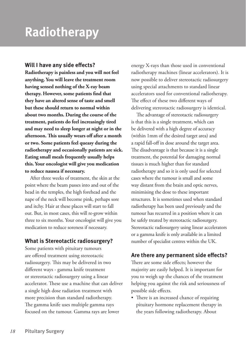#### **Will I have any side effects?**

**Radiotherapy is painless and you will not feel anything. You will leave the treatment room having sensed nothing of the X-ray beam therapy. However, some patients find that they have an altered sense of taste and smell but these should return to normal within about two months. During the course of the treatment, patients do feel increasingly tired and may need to sleep longer at night or in the afternoon. This usually wears off after a month or two. Some patients feel queasy during the radiotherapy and occasionally patients are sick. Eating small meals frequently usually helps this. Your oncologist will give you medication to reduce nausea if necessary.**

After three weeks of treatment, the skin at the point where the beam passes into and out of the head in the temples, the high forehead and the nape of the neck will become pink, perhaps sore and itchy. Hair at these places will start to fall out. But, in most cases, this will re-grow within three to six months. Your oncologist will give you medication to reduce soreness if necessary.

#### **What is Stereotactic radiosurgery?**

Some patients with pituitary tumours are offered treatment using stereotactic radiosurgery. This may be delivered in two different ways - gamma knife treatment or stereotactic radiosurgery using a linear accelerator. These use a machine that can deliver a single high dose radiation treatment with more precision than standard radiotherapy. The gamma knife uses multiple gamma rays focused on the tumour. Gamma rays are lower

energy X-rays than those used in conventional radiotherapy machines (linear accelerators). It is now possible to deliver stereotactic radiosurgery using special attachments to standard linear accelerators used for conventional radiotherapy. The effect of these two different ways of delivering stereotactic radiosurgery is identical.

The advantage of stereotactic radiosurgery is that this is a single treatment, which can be delivered with a high degree of accuracy (within 1mm of the desired target area) and a rapid fall-off in dose around the target area. The disadvantage is that because it is a single treatment, the potential for damaging normal tissues is much higher than for standard radiotherapy and so it is only used for selected cases where the tumour is small and some way distant from the brain and optic nerves, minimising the dose to these important structures. It is sometimes used when standard radiotherapy has been used previously and the tumour has recurred in a position where it can be safely treated by stereotactic radiosurgery. Stereotactic radiosurgery using linear accelerators or a gamma knife is only available in a limited number of specialist centres within the UK.

#### **Are there any permanent side effects?**

There are some side effects; however the majority are easily helped. It is important for you to weigh up the chances of the treatment helping you against the risk and seriousness of possible side effects.

• There is an increased chance of requiring pituitary hormone replacement therapy in the years following radiotherapy. About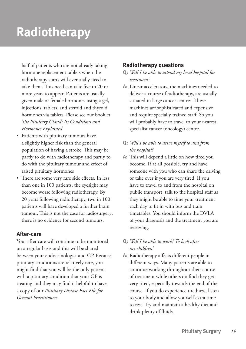half of patients who are not already taking hormone replacement tablets when the radiotherapy starts will eventually need to take them. This need can take five to 20 or more years to appear. Patients are usually given male or female hormones using a gel, injections, tablets, and steroid and thyroid hormones via tablets. Please see our booklet *The Pituitary Gland: Its Conditions and Hormones Explained*

- Patients with pituitary tumours have a slightly higher risk than the general population of having a stroke. This may be partly to do with radiotherapy and partly to do with the pituitary tumour and effect of raised pituitary hormones
- There are some very rare side effects. In less than one in 100 patients, the eyesight may become worse following radiotherapy. By 20 years following radiotherapy, two in 100 patients will have developed a further brain tumour. This is not the case for radiosurgery; there is no evidence for second tumours.

#### **After-care**

Your after care will continue to be monitored on a regular basis and this will be shared between your endocrinologist and GP. Because pituitary conditions are relatively rare, you might find that you will be the only patient with a pituitary condition that your GP is treating and they may find it helpful to have a copy of our *Pituitary Disease Fact File for General Practitioners.*

#### **Radiotherapy questions**

- **Q:** *Will I be able to attend my local hospital for treatment?*
- **A:** Linear accelerators, the machines needed to deliver a course of radiotherapy, are usually situated in large cancer centres. These machines are sophisticated and expensive and require specially trained staff. So you will probably have to travel to your nearest specialist cancer (oncology) centre.

#### **Q:** *Will I be able to drive myself to and from the hospital?*

**A:** This will depend a little on how tired you become. If at all possible, try and have someone with you who can share the driving or take over if you are very tired. If you have to travel to and from the hospital on public transport, talk to the hospital staff as they might be able to time your treatment each day to fit in with bus and train timetables. You should inform the DVLA of your diagnosis and the treatment you are receiving.

#### **Q:** *Will I be able to work? To look after my children?*

**A:** Radiotherapy affects different people in different ways. Many patients are able to continue working throughout their course of treatment while others do find they get very tired, especially towards the end of the course. If you do experience tiredness, listen to your body and allow yourself extra time to rest. Try and maintain a healthy diet and drink plenty of fluids.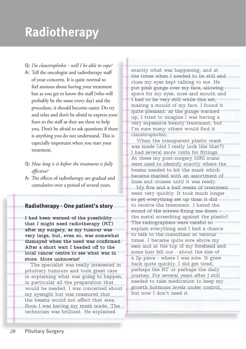**Q:** *I'm claustrophobic - will I be able to cope?*

- **A:** Tell the oncologist and radiotherapy staff of your concerns. It is quite normal to feel anxious about having your treatment but as you get to know the staff (who will probably be the same every day) and the procedure, it should become easier. Do try and relax and don't be afraid to express your fears to the staff as they are there to help you. Don't be afraid to ask questions if there is anything you do not understand. This is especially important when you start your treatment.
- **Q:** *How long is it before the treatment is fully effective?*
- **A:** The effects of radiotherapy are gradual and cumulative over a period of several years.

#### **Radiotherapy - One patient's story**

**I had been warned of the possibility that I might need radiotherapy (RT) after my surgery, as my tumour was very large, but, even so, was somewhat dismayed when the need was confirmed. After a short wait I headed off to the local cancer centre to see what was in store. More unknowns!**

The specialist was really interested in pituitary tumours and took great care in explaining what was going to happen, in particular all the preparation that would be needed. I was concerned about my eyesight but was reassured that the beams would not affect that area. Soon I was having my mask made. The technician was brilliant. He explained

exactly what was happening, and at the times when I needed to lie still and close my eyes kept talking to me. He put pink gunge over my face, allowing space for my eyes, nose and mouth and I had to lie very still while this set, making a mould of my face. I found it quite pleasant: as the gunge warmed up, I tried to imagine I was having a very expensive beauty treatment; but I'm sure many others would find it claustrophobic.

When the transparent plastic mask was made (did I really look like that?) I had several more visits for fittings. At these my post-surgery MRI scans were used to identify exactly where the beams needed to hit the mask which became marked with an assortment of lines and crosses until it was ready.

My five and a half weeks of treatment went very quickly. It took much longer to get everything set up than it did to receive the treatment. I hated the sound of the screws fixing me down the metal screeching against the plastic! The radiographers were careful to explain everything and I had a chance to talk to the consultant at various times. I became quite sore above my ears and at the top of my forehead and some hair fell out - about the size of a 2p piece - where I was sore. It grew back quite quickly. I did get tired, perhaps the RT or perhaps the daily journey. For several years after I still needed to take medication to keep my growth hormone levels under control, but now I don't need it.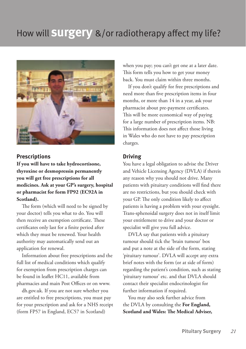

#### **Prescriptions**

**If you will have to take hydrocortisone, thyroxine or desmopressin permanently you will get free prescriptions for all medicines. Ask at your GP's surgery, hospital or pharmacist for form FP92 (EC92A in Scotland).**

The form (which will need to be signed by your doctor) tells you what to do. You will then receive an exemption certificate. These certificates only last for a finite period after which they must be renewed. Your health authority may automatically send out an application for renewal.

Information about free prescriptions and the full list of medical conditions which qualify for exemption from prescription charges can be found in leaflet HC11, available from pharmacies and main Post Offices or on www.

dh.gov.uk. If you are not sure whether you are entitled to free prescriptions, you must pay for your prescription and ask for a NHS receipt (form FP57 in England, EC57 in Scotland)

when you pay; you can't get one at a later date. This form tells you how to get your money back. You must claim within three months.

If you don't qualify for free prescriptions and need more than five prescription items in four months, or more than 14 in a year, ask your pharmacist about pre-payment certificates. This will be more economical way of paying for a large number of prescription items. NB: This information does not affect those living in Wales who do not have to pay prescription charges.

#### **Driving**

You have a legal obligation to advise the Driver and Vehicle Licensing Agency (DVLA) if thereis any reason why you should not drive. Many patients with pituitary conditions will find there are no restrictions, but you should check with your GP. The only condition likely to affect patients is having a problem with your eyesight. Trans-sphenoidal surgery does not in itself limit your entitlement to drive and your doctor or specialist will give you full advice.

DVLA say that patients with a pituitary tumour should tick the 'brain tumour' box and put a note at the side of the form, stating 'pituitary tumour'. DVLA will accept any extra brief notes with the form (or at side of form) regarding the patient's condition, such as stating 'pituitary tumour' etc. and that DVLA should contact their specialist endocrinologist for further information if required.

You may also seek further advice from the DVLA by consulting the **For England, Scotland and Wales: The Medical Adviser,**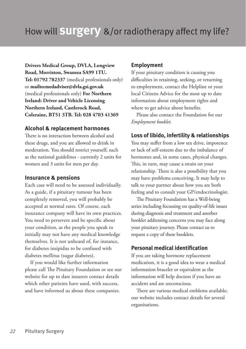**Drivers Medical Group, DVLA, Longview Road, Morriston, Swansea SA99 1TU. Tel: 01792 782337** (medical professionals only) or **mailto:medadviser@dvla.gsi.gov.uk** (medical professionals only) **For Northern Ireland: Driver and Vehicle Licensing Northern Ireland, Castlerock Road, Coleraine, BT51 3TB. Tel: 028 4703 41369**

#### **Alcohol & replacement hormones**

There is no interaction between alcohol and these drugs, and you are allowed to drink in moderation. You should restrict yourself, such as the national guidelines - currently 2 units for women and 3 units for men per day.

#### **Insurance & pensions**

Each case will need to be assessed individually. As a guide, if a pituitary tumour has been completely removed, you will probably be accepted at normal rates. Of course, each insurance company will have its own practices. You need to persevere and be specific about your condition, as the people you speak to initially may not have any medical knowledge themselves. It is not unheard of, for instance, for diabetes insipidus to be confused with diabetes mellitus (sugar diabetes).

If you would like further information please call The Pituitary Foundation or see our website for up to date insurers contact details which other patients have used, with success, and have informed us about these companies.

#### **Employment**

If your pituitary condition is causing you difficulties in retaining, seeking, or returning to employment, contact the Helpline or your local Citizens Advice for the most up to date information about employment rights and where to get advice about benefits.

Please also contact the Foundation for our *Employment booklet.*

#### **Loss of libido, infertility & relationships**

You may suffer from a low sex drive, impotence or lack of self-esteem due to the imbalance of hormones and, in some cases, physical changes. This, in turn, may cause a strain on your relationship. There is also a possibility that you may have problems conceiving. It may help to talk to your partner about how you are both feeling and to consult your GP/endocrinologist.

The Pituitary Foundation has a Well-being series including focussing on quality-of-life issues during diagnosis and treatment and another booklet addressing concerns you may face along your pituitary journey. Please contact us to request a copy of these booklets.

#### **Personal medical identification**

If you are taking hormone replacement medication, it is a good idea to wear a medical information bracelet or equivalent as the information will help doctors if you have an accident and are unconscious.

There are various medical emblems available; our website includes contact details for several organisations.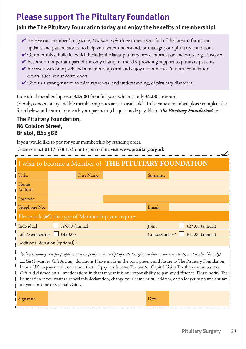### **Please support The Pituitary Foundation**

#### **Join the The Pituitary Foundation today and enjoy the benefits of membership!**

- ✔ Receive our members' magazine, *Pituitary Life*, three times a year full of the latest information, updates and patient stories, to help you better understand, or manage your pituitary condition.
- ✔ Our monthly e-bulletin, which includes the latest pituitary news, information and ways to get involved.
- $\vee$  Become an important part of the only charity in the UK providing support to pituitary patients.
- ✔ Receive a welcome pack and a membership card and enjoy discounts to Pituitary Foundation events, such as our conferences.
- ✔ Give us a stronger voice to raise awareness, and understanding, of pituitary disorders.

Individual membership costs **£25.00** for a full year, which is only **£2.08** a month!

(Family, concessionary and life membership rates are also available). To become a member, please complete the form below and return to us with your payment (cheques made payable to *The Pituitary Foundation*) to:

#### **The Pituitary Foundation, 86 Colston Street, Bristol, BS1 5BB**

If you would like to pay for your membership by standing order,

please contact **0117 370 1333** or to join online visit **www.pituitary.org.uk**

| I wish to become a Member of THE PITUITARY FOUNDATION                                                                           |                        |  |                                                   |                 |  |
|---------------------------------------------------------------------------------------------------------------------------------|------------------------|--|---------------------------------------------------|-----------------|--|
| Title:                                                                                                                          | <b>First Name:</b>     |  | Surname:                                          |                 |  |
| Home<br>Address:                                                                                                                |                        |  |                                                   |                 |  |
| Postcode:                                                                                                                       |                        |  |                                                   |                 |  |
| Telephone No:                                                                                                                   |                        |  | Email:                                            |                 |  |
| Please tick $(V)$ the type of Membership you require:                                                                           |                        |  |                                                   |                 |  |
| Individual                                                                                                                      | $\Box$ £25.00 (annual) |  | Joint<br>$\mathbf{I}$                             | £35.00 (annual) |  |
| Life Membership $\Box$ £350.00                                                                                                  |                        |  | Concessionary <sup>*</sup> $\Box$ £15.00 (annual) |                 |  |
| Additional donation (optional) $\mathcal{L}$                                                                                    |                        |  |                                                   |                 |  |
| *(Concessionary rate for people on a state pension, in receipt of state benefits, on low income, students, and under 18s only). |                        |  |                                                   |                 |  |

**Yes!** I want to Gift Aid any donations I have made in the past, present and future to The Pituitary Foundation. I am a UK taxpayer and understand that if I pay less Income Tax and/or Capital Gains Tax than the amount of Gift Aid claimed on all my donations in that tax year it is my responsibility to pay any difference. Please notify The Foundation if you want to cancel this declaration, change your name or full address, or no longer pay sufficient tax on your Income or Capital Gains.

| Signature: | )ate: |  |
|------------|-------|--|
|            |       |  |

۹